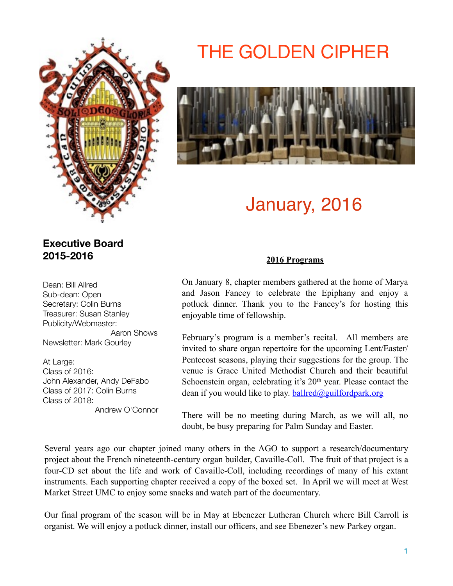

# **Executive Board 2015-2016**

Dean: Bill Allred Sub-dean: Open Secretary: Colin Burns Treasurer: Susan Stanley Publicity/Webmaster: Aaron Shows Newsletter: Mark Gourley

At Large: Class of 2016: John Alexander, Andy DeFabo Class of 2017: Colin Burns Class of 2018: Andrew O'Connor

# THE GOLDEN CIPHER



# January, 2016

### **2016 Programs**

On January 8, chapter members gathered at the home of Marya and Jason Fancey to celebrate the Epiphany and enjoy a potluck dinner. Thank you to the Fancey's for hosting this enjoyable time of fellowship.

February's program is a member's recital. All members are invited to share organ repertoire for the upcoming Lent/Easter/ Pentecost seasons, playing their suggestions for the group. The venue is Grace United Methodist Church and their beautiful Schoenstein organ, celebrating it's 20<sup>th</sup> year. Please contact the dean if you would like to play.  $b$ allred@guilfordpark.org

There will be no meeting during March, as we will all, no doubt, be busy preparing for Palm Sunday and Easter.

Several years ago our chapter joined many others in the AGO to support a research/documentary project about the French nineteenth-century organ builder, Cavaille-Coll. The fruit of that project is a four-CD set about the life and work of Cavaille-Coll, including recordings of many of his extant instruments. Each supporting chapter received a copy of the boxed set. In April we will meet at West Market Street UMC to enjoy some snacks and watch part of the documentary.

Our final program of the season will be in May at Ebenezer Lutheran Church where Bill Carroll is organist. We will enjoy a potluck dinner, install our officers, and see Ebenezer's new Parkey organ.